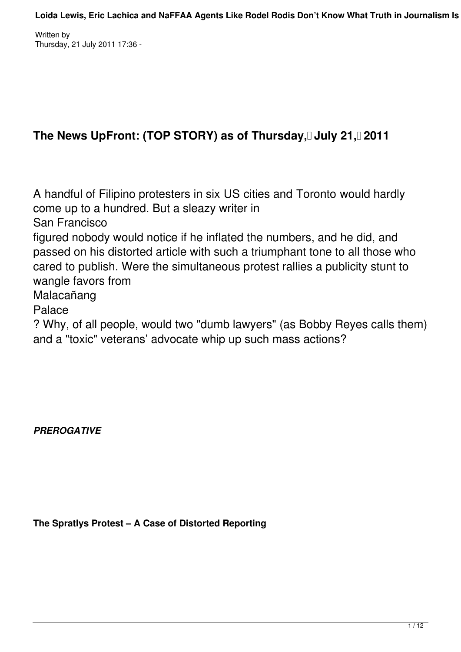# The News UpFront: (TOP STORY) as of Thursday, July 21, 2011

A handful of Filipino protesters in six US cities and Toronto would hardly come up to a hundred. But a sleazy writer in

San Francisco

figured nobody would notice if he inflated the numbers, and he did, and passed on his distorted article with such a triumphant tone to all those who cared to publish. Were the simultaneous protest rallies a publicity stunt to wangle favors from

Malacañang

Palace

? Why, of all people, would two "dumb lawyers" (as Bobby Reyes calls them) and a "toxic" veterans' advocate whip up such mass actions?

*PREROGATIVE*

**The Spratlys Protest – A Case of Distorted Reporting**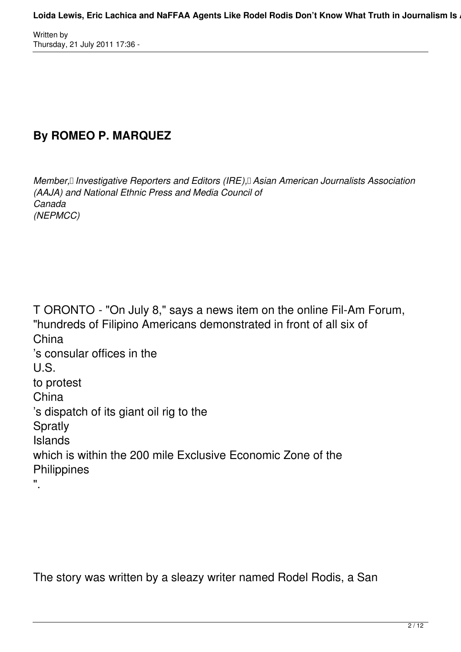## **By ROMEO P. MARQUEZ**

*Member, II Investigative Reporters and Editors (IRE), Asian American Journalists Association (AAJA) and National Ethnic Press and Media Council of Canada (NEPMCC)*

T ORONTO - "On July 8," says a news item on the online Fil-Am Forum, "hundreds of Filipino Americans demonstrated in front of all six of China 's consular offices in the U.S. to protest China 's dispatch of its giant oil rig to the Spratly Islands which is within the 200 mile Exclusive Economic Zone of the **Philippines** ".

The story was written by a sleazy writer named Rodel Rodis, a San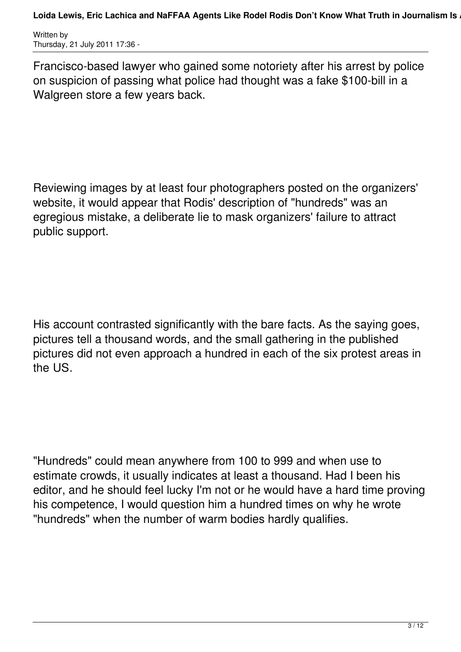Francisco-based lawyer who gained some notoriety after his arrest by police on suspicion of passing what police had thought was a fake \$100-bill in a Walgreen store a few years back.

Reviewing images by at least four photographers posted on the organizers' website, it would appear that Rodis' description of "hundreds" was an egregious mistake, a deliberate lie to mask organizers' failure to attract public support.

His account contrasted significantly with the bare facts. As the saying goes, pictures tell a thousand words, and the small gathering in the published pictures did not even approach a hundred in each of the six protest areas in the US.

"Hundreds" could mean anywhere from 100 to 999 and when use to estimate crowds, it usually indicates at least a thousand. Had I been his editor, and he should feel lucky I'm not or he would have a hard time proving his competence, I would question him a hundred times on why he wrote "hundreds" when the number of warm bodies hardly qualifies.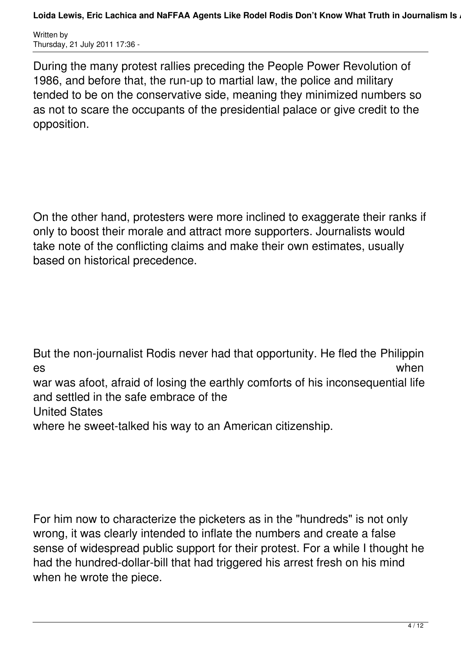Loida Lewis, Eric Lachica and NaFFAA Agents Like Rodel Rodis Don't Know What Truth in Journalism Is .

Written by Thursday, 21 July 2011 17:36 -

During the many protest rallies preceding the People Power Revolution of 1986, and before that, the run-up to martial law, the police and military tended to be on the conservative side, meaning they minimized numbers so as not to scare the occupants of the presidential palace or give credit to the opposition.

On the other hand, protesters were more inclined to exaggerate their ranks if only to boost their morale and attract more supporters. Journalists would take note of the conflicting claims and make their own estimates, usually based on historical precedence.

But the non-journalist Rodis never had that opportunity. He fled the Philippin es when war was afoot, afraid of losing the earthly comforts of his inconsequential life and settled in the safe embrace of the United States where he sweet-talked his way to an American citizenship.

For him now to characterize the picketers as in the "hundreds" is not only wrong, it was clearly intended to inflate the numbers and create a false sense of widespread public support for their protest. For a while I thought he had the hundred-dollar-bill that had triggered his arrest fresh on his mind when he wrote the piece.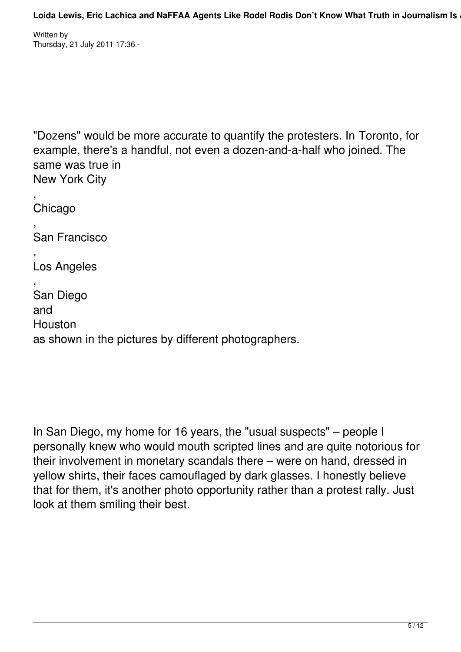"Dozens" would be more accurate to quantify the protesters. In Toronto, for example, there's a handful, not even a dozen-and-a-half who joined. The same was true in New York City

, Chicago , San Francisco , Los Angeles , San Diego and Houston as shown in the pictures by different photographers.

In San Diego, my home for 16 years, the "usual suspects" – people I personally knew who would mouth scripted lines and are quite notorious for their involvement in monetary scandals there – were on hand, dressed in yellow shirts, their faces camouflaged by dark glasses. I honestly believe that for them, it's another photo opportunity rather than a protest rally. Just look at them smiling their best.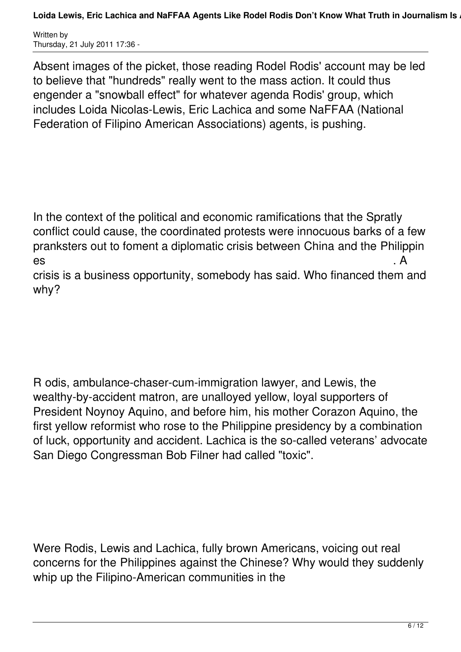Absent images of the picket, those reading Rodel Rodis' account may be led to believe that "hundreds" really went to the mass action. It could thus engender a "snowball effect" for whatever agenda Rodis' group, which includes Loida Nicolas-Lewis, Eric Lachica and some NaFFAA (National Federation of Filipino American Associations) agents, is pushing.

In the context of the political and economic ramifications that the Spratly conflict could cause, the coordinated protests were innocuous barks of a few pranksters out to foment a diplomatic crisis between China and the Philippin es . A

crisis is a business opportunity, somebody has said. Who financed them and why?

R odis, ambulance-chaser-cum-immigration lawyer, and Lewis, the wealthy-by-accident matron, are unalloyed yellow, loyal supporters of President Noynoy Aquino, and before him, his mother Corazon Aquino, the first yellow reformist who rose to the Philippine presidency by a combination of luck, opportunity and accident. Lachica is the so-called veterans' advocate San Diego Congressman Bob Filner had called "toxic".

Were Rodis, Lewis and Lachica, fully brown Americans, voicing out real concerns for the Philippines against the Chinese? Why would they suddenly whip up the Filipino-American communities in the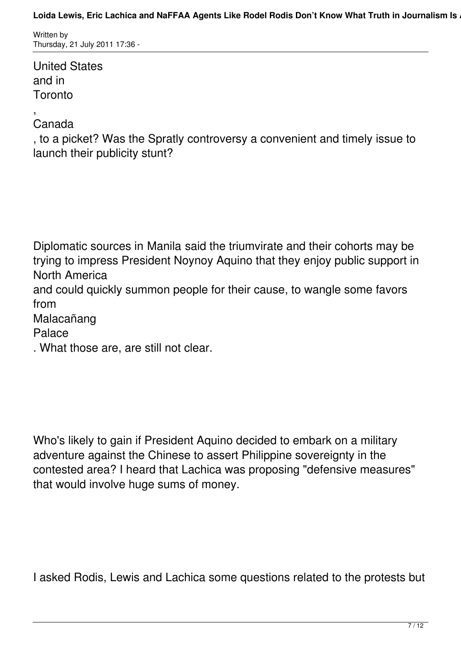Loida Lewis, Eric Lachica and NaFFAA Agents Like Rodel Rodis Don't Know What Truth in Journalism Is.

Written by Thursday, 21 July 2011 17:36 -

United States and in **Toronto** 

#### , Canada

, to a picket? Was the Spratly controversy a convenient and timely issue to launch their publicity stunt?

Diplomatic sources in Manila said the triumvirate and their cohorts may be trying to impress President Noynoy Aquino that they enjoy public support in North America and could quickly summon people for their cause, to wangle some favors from

Malacañang

Palace

. What those are, are still not clear.

Who's likely to gain if President Aquino decided to embark on a military adventure against the Chinese to assert Philippine sovereignty in the contested area? I heard that Lachica was proposing "defensive measures" that would involve huge sums of money.

I asked Rodis, Lewis and Lachica some questions related to the protests but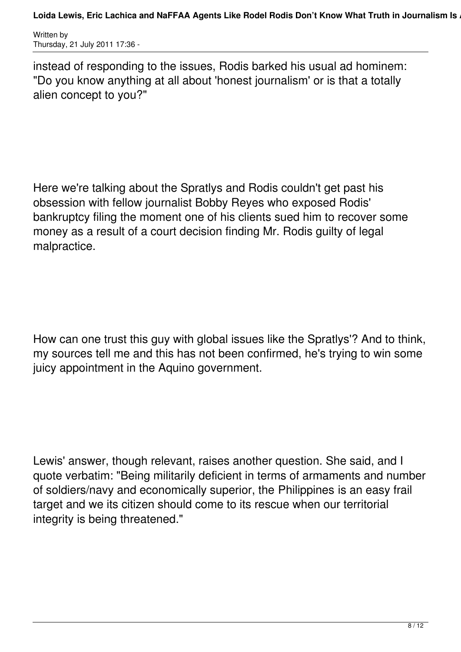instead of responding to the issues, Rodis barked his usual ad hominem: "Do you know anything at all about 'honest journalism' or is that a totally alien concept to you?"

Here we're talking about the Spratlys and Rodis couldn't get past his obsession with fellow journalist Bobby Reyes who exposed Rodis' bankruptcy filing the moment one of his clients sued him to recover some money as a result of a court decision finding Mr. Rodis guilty of legal malpractice.

How can one trust this guy with global issues like the Spratlys'? And to think, my sources tell me and this has not been confirmed, he's trying to win some juicy appointment in the Aquino government.

Lewis' answer, though relevant, raises another question. She said, and I quote verbatim: "Being militarily deficient in terms of armaments and number of soldiers/navy and economically superior, the Philippines is an easy frail target and we its citizen should come to its rescue when our territorial integrity is being threatened."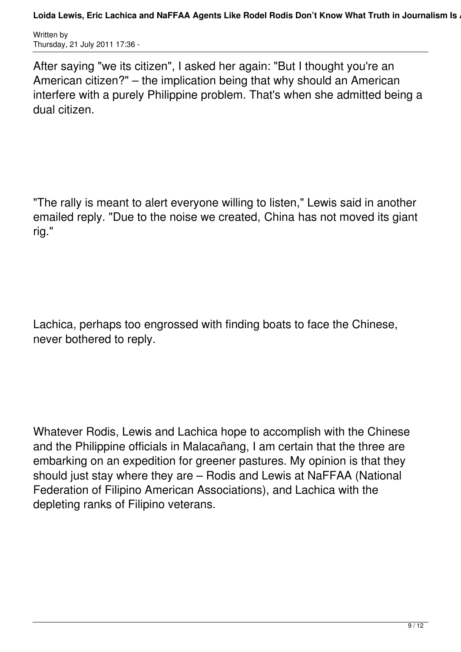After saying "we its citizen", I asked her again: "But I thought you're an American citizen?" – the implication being that why should an American interfere with a purely Philippine problem. That's when she admitted being a dual citizen.

"The rally is meant to alert everyone willing to listen," Lewis said in another emailed reply. "Due to the noise we created, China has not moved its giant rig."

Lachica, perhaps too engrossed with finding boats to face the Chinese, never bothered to reply.

Whatever Rodis, Lewis and Lachica hope to accomplish with the Chinese and the Philippine officials in Malacañang, I am certain that the three are embarking on an expedition for greener pastures. My opinion is that they should just stay where they are – Rodis and Lewis at NaFFAA (National Federation of Filipino American Associations), and Lachica with the depleting ranks of Filipino veterans.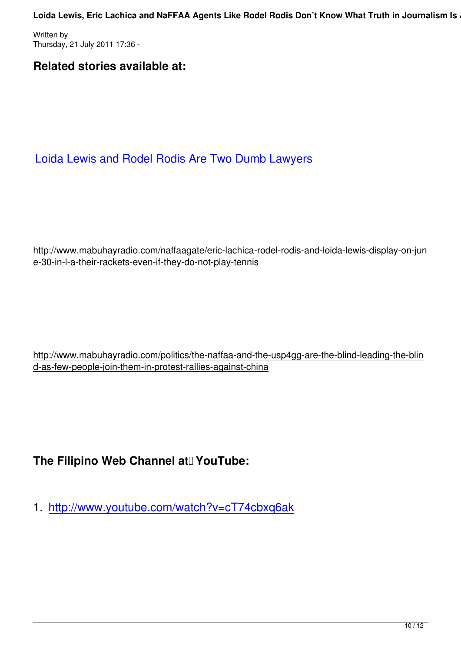Written by

### **Related stories available at:**

Loida Lewis and Rodel Rodis Are Two Dumb Lawyers

http://www.mabuhayradio.com/naffaagate/eric-lachica-rodel-rodis-and-loida-lewis-display-on-jun e-30-in-l-a-their-rackets-even-if-they-do-not-play-tennis

http://www.mabuhayradio.com/politics/the-naffaa-and-the-usp4gg-are-the-blind-leading-the-blin d-as-few-people-join-them-in-protest-rallies-against-china

## The Filipino Web Channel at VouTube:

1. http://www.youtube.com/watch?v=cT74cbxq6ak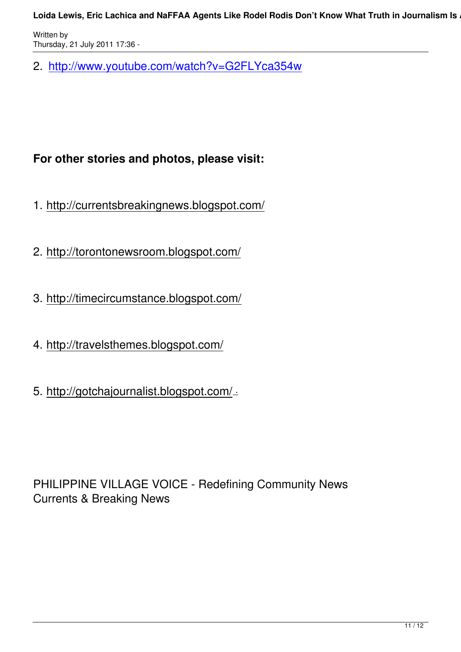2. http://www.youtube.com/watch?v=G2FLYca354w

## **For other stories and photos, please visit:**

- 1. http://currentsbreakingnews.blogspot.com/
- 2. http://torontonewsroom.blogspot.com/
- 3. http://timecircumstance.blogspot.com/
- 4. http://travelsthemes.blogspot.com/
- 5. http://gotchajournalist.blogspot.com/ .

PHILIPPINE VILLAGE VOICE - Redefining Community News Currents & Breaking News